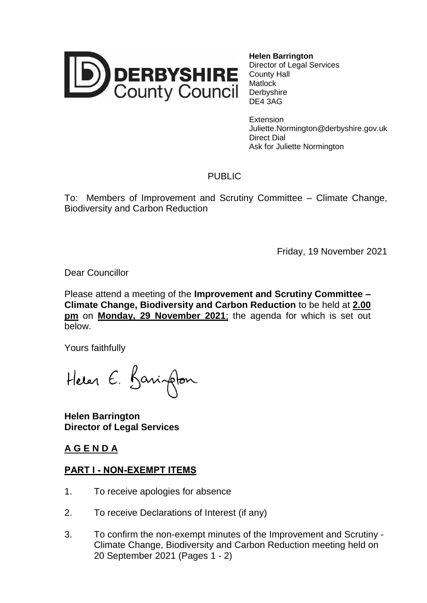

**Helen Barrington** Director of Legal Services County Hall **Matlock Derbyshire** DE4 3AG

**Extension** Juliette.Normington@derbyshire.gov.uk Direct Dial Ask for Juliette Normington

## PUBLIC

To: Members of Improvement and Scrutiny Committee – Climate Change, Biodiversity and Carbon Reduction

Friday, 19 November 2021

Dear Councillor

Please attend a meeting of the **Improvement and Scrutiny Committee – Climate Change, Biodiversity and Carbon Reduction** to be held at **2.00 pm** on **Monday, 29 November 2021**; the agenda for which is set out below.

Yours faithfully

Helen E. Barington

**Helen Barrington Director of Legal Services**

## **A G E N D A**

## **PART I - NON-EXEMPT ITEMS**

- 1. To receive apologies for absence
- 2. To receive Declarations of Interest (if any)
- 3. To confirm the non-exempt minutes of the Improvement and Scrutiny Climate Change, Biodiversity and Carbon Reduction meeting held on 20 September 2021 (Pages 1 - 2)